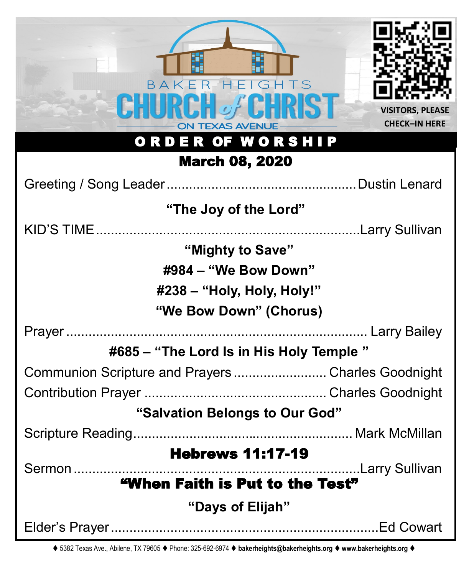| <b>HFI</b><br>GHTS<br>BAKFR<br><b>TEXAS AVENUE</b><br>ORDER OF WORSHIP                           | <b>VISITORS, PLEASE</b><br><b>CHECK-IN HERE</b> |  |  |
|--------------------------------------------------------------------------------------------------|-------------------------------------------------|--|--|
| <b>March 08, 2020</b>                                                                            |                                                 |  |  |
|                                                                                                  |                                                 |  |  |
| "The Joy of the Lord"                                                                            |                                                 |  |  |
|                                                                                                  |                                                 |  |  |
| "Mighty to Save"<br>#984 - "We Bow Down"<br>#238 – "Holy, Holy, Holy!"<br>"We Bow Down" (Chorus) |                                                 |  |  |
|                                                                                                  |                                                 |  |  |
| #685 - "The Lord Is in His Holy Temple"                                                          |                                                 |  |  |
| Communion Scripture and Prayers Charles Goodnight                                                |                                                 |  |  |
|                                                                                                  |                                                 |  |  |
| "Salvation Belongs to Our God"                                                                   |                                                 |  |  |
|                                                                                                  |                                                 |  |  |
| <b>Hebrews 11:17-19</b>                                                                          |                                                 |  |  |
| "When Faith is Put to the Test"                                                                  |                                                 |  |  |
| "Days of Elijah"                                                                                 |                                                 |  |  |
|                                                                                                  |                                                 |  |  |

⧫ 5382 Texas Ave., Abilene, TX 79605 ⧫ Phone: 325-692-6974 ⧫ **bakerheights@bakerheights.org** ⧫ **www.bakerheights.org** ⧫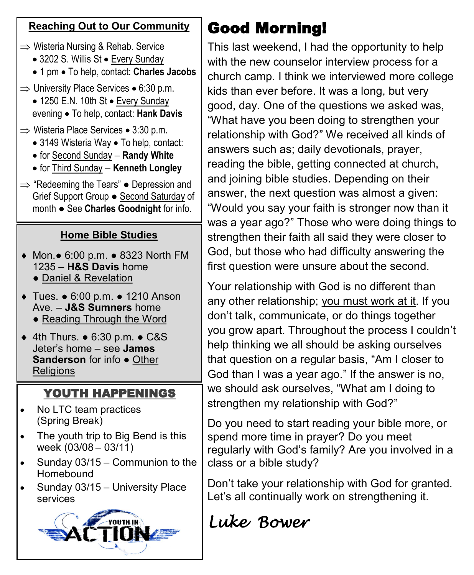#### **Reaching Out to Our Community**

- $\Rightarrow$  Wisteria Nursing & Rehab. Service
	- 3202 S. Willis St Every Sunday
	- 1 pm To help, contact: **Charles Jacobs**
- $\Rightarrow$  University Place Services 6:30 p.m.
	- 1250 E.N. 10th St Every Sunday evening • To help, contact: **Hank Davis**
- $\Rightarrow$  Wisteria Place Services 3:30 p.m.
	- 3149 Wisteria Way To help, contact:
	- for Second Sunday − **Randy White**
	- for Third Sunday − **Kenneth Longley**
- $\Rightarrow$  "Redeeming the Tears"  $\bullet$  Depression and Grief Support Group ● Second Saturday of month ● See **Charles Goodnight** for info.

### **Home Bible Studies**

- Mon.● 6:00 p.m. 8323 North FM 1235 – **H&S Davis** home ● Daniel & Revelation
- Tues. 6:00 p.m. 1210 Anson
	- Ave. **J&S Sumners** home • Reading Through the Word
- 4th Thurs. 6:30 p.m. C&S Jeter's home – see **James Sanderson** for info ● Other **Religions**

# YOUTH HAPPENINGS

- No LTC team practices (Spring Break)
- The youth trip to Big Bend is this week (03/08 – 03/11)
- Sunday 03/15 Communion to the Homebound
- Sunday 03/15 University Place services



# Good Morning!

This last weekend, I had the opportunity to help with the new counselor interview process for a church camp. I think we interviewed more college kids than ever before. It was a long, but very good, day. One of the questions we asked was, "What have you been doing to strengthen your relationship with God?" We received all kinds of answers such as; daily devotionals, prayer, reading the bible, getting connected at church, and joining bible studies. Depending on their answer, the next question was almost a given: "Would you say your faith is stronger now than it was a year ago?" Those who were doing things to strengthen their faith all said they were closer to God, but those who had difficulty answering the first question were unsure about the second.

Your relationship with God is no different than any other relationship; you must work at it. If you don't talk, communicate, or do things together you grow apart. Throughout the process I couldn't help thinking we all should be asking ourselves that question on a regular basis, "Am I closer to God than I was a year ago." If the answer is no, we should ask ourselves, "What am I doing to strengthen my relationship with God?"

Do you need to start reading your bible more, or spend more time in prayer? Do you meet regularly with God's family? Are you involved in a class or a bible study?

Don't take your relationship with God for granted. Let's all continually work on strengthening it.

# *Luke Bower*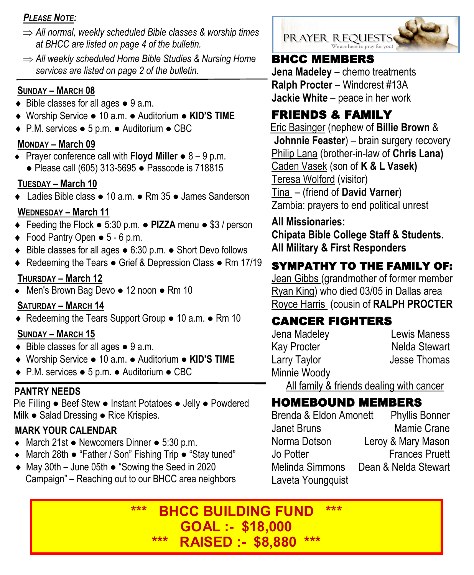#### *PLEASE NOTE:*

- *All normal, weekly scheduled Bible classes & worship times at BHCC are listed on page 4 of the bulletin.*
- *All weekly scheduled Home Bible Studies & Nursing Home services are listed on page 2 of the bulletin.*

#### **SUNDAY – MARCH 08**

- $\bullet$  Bible classes for all ages  $\bullet$  9 a.m.
- Worship Service 10 a.m. Auditorium **KID'S TIME**
- P.M. services 5 p.m. Auditorium CBC

#### **MONDAY – March 09**

 Prayer conference call with **Floyd Miller** ● 8 – 9 p.m. ● Please call (605) 313-5695 ● Passcode is 718815

#### **TUESDAY – March 10**

Ladies Bible class ● 10 a.m. ● Rm 35 ● James Sanderson

#### **WEDNESDAY – March 11**

- Feeding the Flock 5:30 p.m. **PIZZA** menu \$3 / person
- Food Pantry Open 5 6 p.m.
- Bible classes for all ages 6:30 p.m. Short Devo follows
- ◆ Redeeming the Tears Grief & Depression Class Rm 17/19

#### **THURSDAY – March 12**

Men's Brown Bag Devo ● 12 noon ● Rm 10

#### **SATURDAY – MARCH 14**

◆ Redeeming the Tears Support Group ● 10 a.m. ● Rm 10

#### **SUNDAY – MARCH 15**

- ◆ Bible classes for all ages 9 a.m.
- Worship Service 10 a.m. Auditorium **KID'S TIME**
- P.M. services 5 p.m. Auditorium CBC

#### **PANTRY NEEDS**

Pie Filling ● Beef Stew ● Instant Potatoes ● Jelly ● Powdered Milk ● Salad Dressing ● Rice Krispies.

#### **MARK YOUR CALENDAR**

- March 21st Newcomers Dinner 5:30 p.m.
- March 28th "Father / Son" Fishing Trip "Stay tuned"
- May 30th June 05th "Sowing the Seed in 2020 Campaign" – Reaching out to our BHCC area neighbors



#### BHCC MEMBERS

**Jena Madeley** – chemo treatments **Ralph Procter** – Windcrest #13A **Jackie White** – peace in her work

## FRIENDS & FAMILY

Eric Basinger (nephew of **Billie Brown** & **Johnnie Feaster**) – brain surgery recovery Philip Lana (brother-in-law of **Chris Lana)** Caden Vasek (son of **K & L Vasek)** Teresa Wolford (visitor)

Tina – (friend of **David Varner**)

Zambia: prayers to end political unrest

## **All Missionaries:**

**Chipata Bible College Staff & Students. All Military & First Responders**

# SYMPATHY TO THE FAMILY OF:

Jean Gibbs (grandmother of former member Ryan King) who died 03/05 in Dallas area Royce Harris (cousin of **RALPH PROCTER**

## CANCER FIGHTERS

| Jena Madeley |  |
|--------------|--|
| Kay Procter  |  |
| Larry Taylor |  |
| Minnie Woody |  |

Lewis Maness Nelda Stewart **Jesse Thomas** 

All family & friends dealing with cancer

## HOMEBOUND MEMBERS

| Brenda & Eldon Amonett | <b>Phyllis Bonner</b> |
|------------------------|-----------------------|
| <b>Janet Bruns</b>     | Mamie Crane           |
| Norma Dotson           | Leroy & Mary Mason    |
| Jo Potter              | <b>Frances Pruett</b> |
| Melinda Simmons        | Dean & Nelda Stewart  |
| Laveta Youngquist      |                       |

**\*\*\* BHCC BUILDING FUND \*\*\* GOAL :- \$18,000 \*\*\* RAISED :- \$8,880 \*\*\***